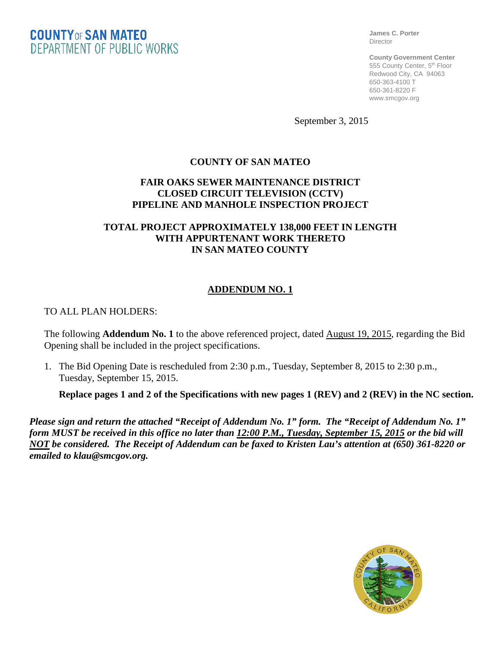**James C. Porter** Director

**County Government Center** 555 County Center, 5<sup>th</sup> Floor Redwood City, CA 94063 650-363-4100 T 650-361-8220 F www.smcgov.org

September 3, 2015

## **COUNTY OF SAN MATEO**

### **FAIR OAKS SEWER MAINTENANCE DISTRICT CLOSED CIRCUIT TELEVISION (CCTV) PIPELINE AND MANHOLE INSPECTION PROJECT**

# **TOTAL PROJECT APPROXIMATELY 138,000 FEET IN LENGTH WITH APPURTENANT WORK THERETO IN SAN MATEO COUNTY**

## **ADDENDUM NO. 1**

TO ALL PLAN HOLDERS:

The following **Addendum No. 1** to the above referenced project, dated August 19, 2015, regarding the Bid Opening shall be included in the project specifications.

1. The Bid Opening Date is rescheduled from 2:30 p.m., Tuesday, September 8, 2015 to 2:30 p.m., Tuesday, September 15, 2015.

**Replace pages 1 and 2 of the Specifications with new pages 1 (REV) and 2 (REV) in the NC section.** 

*Please sign and return the attached "Receipt of Addendum No. 1" form. The "Receipt of Addendum No. 1" form MUST be received in this office no later than 12:00 P.M., Tuesday, September 15, 2015 or the bid will NOT be considered. The Receipt of Addendum can be faxed to Kristen Lau's attention at (650) 361-8220 or emailed to klau@smcgov.org.*

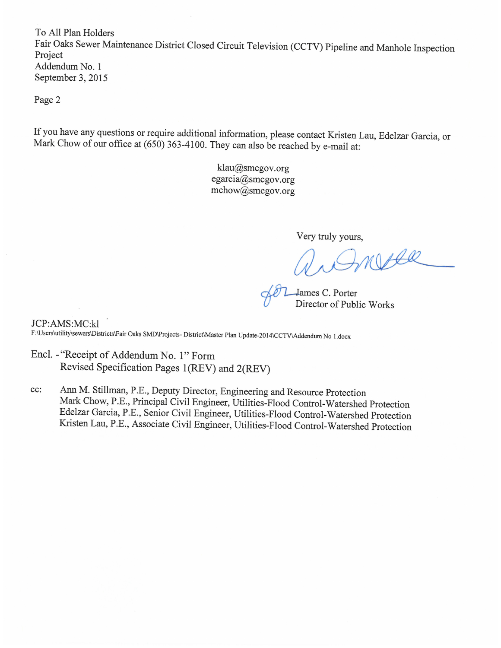To All Plan Holders Fair Oaks Sewer Maintenance District Closed Circuit Television (CCTV) Pipeline and Manhole Inspection Project Addendum No. 1 September 3, 2015

Page 2

If you have any questions or require additional information, please contact Kristen Lau, Edelzar Garcia, or Mark Chow of our office at (650) 363-4100. They can also be reached by e-mail at:

> klau@smcgov.org egarcia@smcgov.org mchow@smcgov.org

> > Very truly yours,

MILLR

James C. Porter Director of Public Works

JCP:AMS:MC:kl F:\Users\utility\sewers\Districts\Fair Oaks SMD\Projects- District\Master Plan Update-2014\CCTV\Addendum No 1.docx

Encl. - "Receipt of Addendum No. 1" Form Revised Specification Pages 1(REV) and 2(REV)

Ann M. Stillman, P.E., Deputy Director, Engineering and Resource Protection cc: Mark Chow, P.E., Principal Civil Engineer, Utilities-Flood Control-Watershed Protection Edelzar Garcia, P.E., Senior Civil Engineer, Utilities-Flood Control-Watershed Protection Kristen Lau, P.E., Associate Civil Engineer, Utilities-Flood Control-Watershed Protection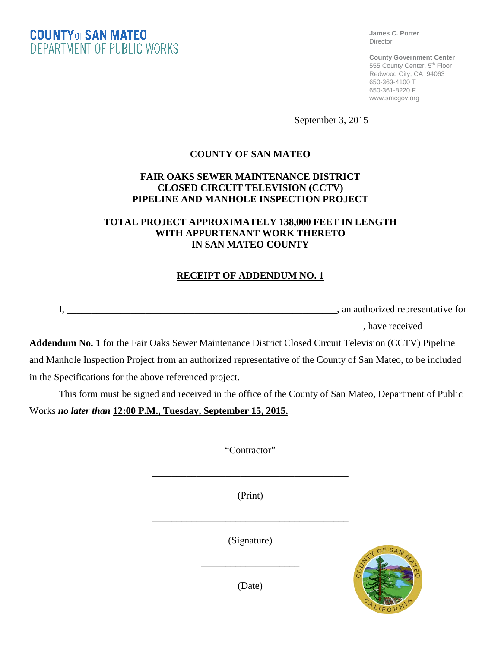**James C. Porter** Director

**County Government Center** 555 County Center, 5<sup>th</sup> Floor Redwood City, CA 94063 650-363-4100 T 650-361-8220 F www.smcgov.org

September 3, 2015

#### **COUNTY OF SAN MATEO**

# **FAIR OAKS SEWER MAINTENANCE DISTRICT CLOSED CIRCUIT TELEVISION (CCTV) PIPELINE AND MANHOLE INSPECTION PROJECT**

### **TOTAL PROJECT APPROXIMATELY 138,000 FEET IN LENGTH WITH APPURTENANT WORK THERETO IN SAN MATEO COUNTY**

## **RECEIPT OF ADDENDUM NO. 1**

| an authorized representative for |
|----------------------------------|
| have received                    |
|                                  |

**Addendum No. 1** for the Fair Oaks Sewer Maintenance District Closed Circuit Television (CCTV) Pipeline and Manhole Inspection Project from an authorized representative of the County of San Mateo, to be included in the Specifications for the above referenced project.

This form must be signed and received in the office of the County of San Mateo, Department of Public Works *no later than* **12:00 P.M., Tuesday, September 15, 2015.**

"Contractor"

\_\_\_\_\_\_\_\_\_\_\_\_\_\_\_\_\_\_\_\_\_\_\_\_\_\_\_\_\_\_\_\_\_\_\_\_\_\_\_\_

(Print)

(Signature)

\_\_\_\_\_\_\_\_\_\_\_\_\_\_\_\_\_\_\_\_\_\_\_\_\_\_\_\_\_\_\_\_\_\_\_\_\_\_\_\_



(Date)

\_\_\_\_\_\_\_\_\_\_\_\_\_\_\_\_\_\_\_\_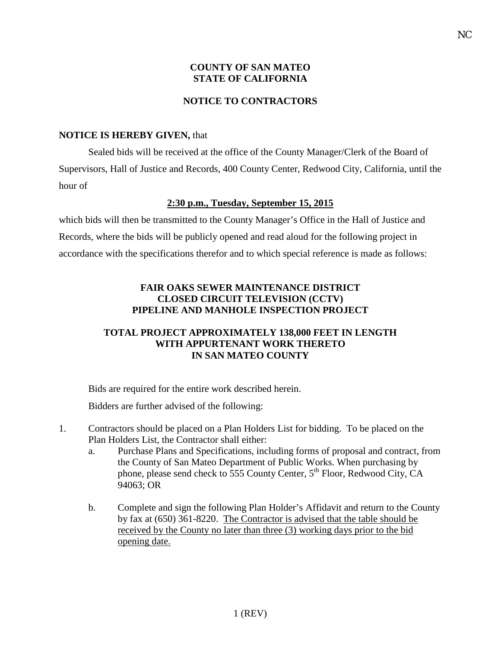## **COUNTY OF SAN MATEO STATE OF CALIFORNIA**

## **NOTICE TO CONTRACTORS**

#### **NOTICE IS HEREBY GIVEN,** that

Sealed bids will be received at the office of the County Manager/Clerk of the Board of Supervisors, Hall of Justice and Records, 400 County Center, Redwood City, California, until the hour of

#### **2:30 p.m., Tuesday, September 15, 2015**

which bids will then be transmitted to the County Manager's Office in the Hall of Justice and Records, where the bids will be publicly opened and read aloud for the following project in accordance with the specifications therefor and to which special reference is made as follows:

# **FAIR OAKS SEWER MAINTENANCE DISTRICT CLOSED CIRCUIT TELEVISION (CCTV) PIPELINE AND MANHOLE INSPECTION PROJECT**

### **TOTAL PROJECT APPROXIMATELY 138,000 FEET IN LENGTH WITH APPURTENANT WORK THERETO IN SAN MATEO COUNTY**

Bids are required for the entire work described herein.

Bidders are further advised of the following:

- 1. Contractors should be placed on a Plan Holders List for bidding. To be placed on the Plan Holders List, the Contractor shall either:
	- a. Purchase Plans and Specifications, including forms of proposal and contract, from the County of San Mateo Department of Public Works. When purchasing by phone, please send check to 555 County Center, 5<sup>th</sup> Floor, Redwood City, CA 94063; OR
	- b. Complete and sign the following Plan Holder's Affidavit and return to the County by fax at (650) 361-8220. The Contractor is advised that the table should be received by the County no later than three (3) working days prior to the bid opening date.